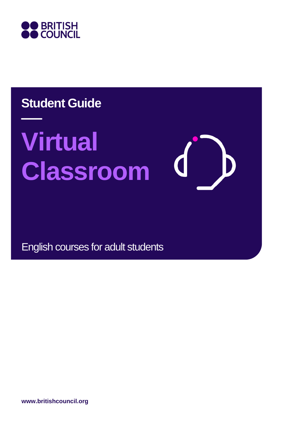

# **Student Guide**

# **Virtual Classroom**

English courses for adult students

**www.britishcouncil.org**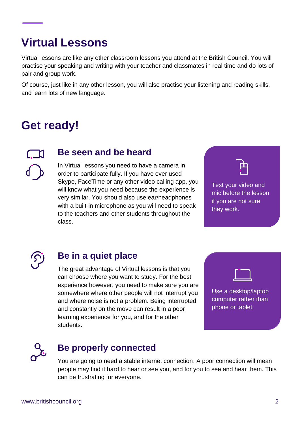# **Virtual Lessons**

Virtual lessons are like any other classroom lessons you attend at the British Council. You will practise your speaking and writing with your teacher and classmates in real time and do lots of pair and group work.

Of course, just like in any other lesson, you will also practise your listening and reading skills, and learn lots of new language.

## **Get ready!**

#### **Be seen and be heard**

In Virtual lessons you need to have a camera in order to participate fully. If you have ever used Skype, FaceTime or any other video calling app, you will know what you need because the experience is very similar. You should also use ear/headphones with a built-in microphone as you will need to speak to the teachers and other students throughout the class.

Test your video and mic before the lesson if you are not sure they work.



#### **Be in a quiet place**

The great advantage of Virtual lessons is that you can choose where you want to study. For the best experience however, you need to make sure you are somewhere where other people will not interrupt you and where noise is not a problem. Being interrupted and constantly on the move can result in a poor learning experience for you, and for the other students.





#### **Be properly connected**

You are going to need a stable internet connection. A poor connection will mean people may find it hard to hear or see you, and for you to see and hear them. This can be frustrating for everyone.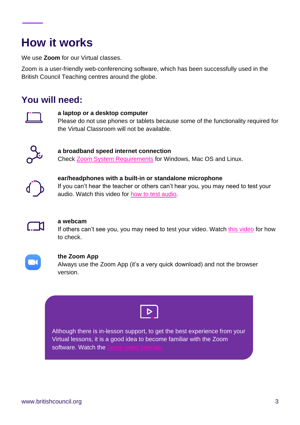# **How it works**

We use **Zoom** for our Virtual classes.

Zoom is a user-friendly web-conferencing software, which has been successfully used in the British Council Teaching centres around the globe.

#### **You will need:**



#### **a laptop or a desktop computer**

Please do not use phones or tablets because some of the functionality required for the Virtual Classroom will not be available.



**a broadband speed internet connection**  Check [Zoom System Requirements](https://support.zoom.us/hc/en-us/articles/201362023-System-Requirements-for-PC-Mac-and-Linux) for Windows, Mac OS and Linux.



**ear/headphones with a built-in or standalone microphone** If you can't hear the teacher or others can't hear you, you may need to test your audio. Watch this video for [how to test audio.](https://support.zoom.us/hc/en-us/articles/201362283-How-Do-I-Join-or-Test-My-Computer-Audio-)



#### **a webcam**

If others can't see you, you may need to test your video. Watch [this video](https://support.zoom.us/hc/en-us/articles/201362313-How-Do-I-Test-My-Video-) for how to check.



#### **the Zoom App**

Always use the Zoom App (it's a very quick download) and not the browser version.



Although there is in-lesson support, to get the best experience from your Virtual lessons, it is a good idea to become familiar with the Zoom software. Watch the [Zoom video](https://support.zoom.us/hc/en-us/articles/206618765-Zoom-Video-Tutorials) tutorials.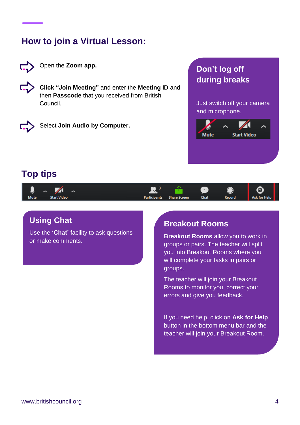### **How to join a Virtual Lesson:**



Open the **Zoom app.**



**Click "Join Meeting"** and enter the **Meeting ID** and then **Passcode** that you received from British Council.



Select **Join Audio by Computer.**

#### **Don't log off during breaks**

Just switch off your camera and microphone.



#### **Top tips**

| بر   | ⌒                  |                     |                     | $\cdots$ |               | Ø.           |  |
|------|--------------------|---------------------|---------------------|----------|---------------|--------------|--|
| Mute | <b>Start Video</b> | <b>Participants</b> | <b>Share Screen</b> | Chat     | <b>Record</b> | Ask for Help |  |

#### **Using Chat**

Use the **'Chat'** facility to ask questions or make comments.

#### **Breakout Rooms**

**Breakout Rooms** allow you to work in groups or pairs. The teacher will split you into Breakout Rooms where you will complete your tasks in pairs or groups.

The teacher will join your Breakout Rooms to monitor you, correct your errors and give you feedback.

If you need help, click on **Ask for Help** button in the bottom menu bar and the teacher will join your Breakout Room.